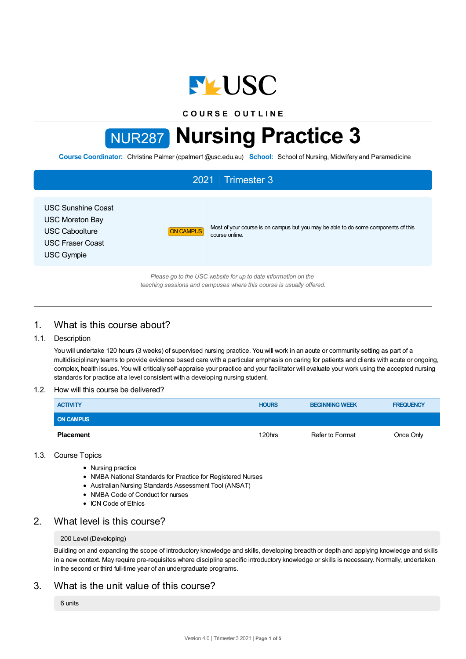

**C O U R S E O U T L I N E**

# NUR287 **Nursing Practice 3**

**Course Coordinator:** Christine Palmer (cpalmer1@usc.edu.au) **School:** School of Nursing, Midwifery and Paramedicine

# 2021 Trimester 3 USC Sunshine Coast USC Moreton Bay USC Caboolture USC Fraser Coast USC Gympie ON CAMPUS Most of your course is on campus but you may be able to do some components of this course online. *Please go to the USC website for up to date information on the teaching sessions and campuses where this course is usually offered.*

# 1. What is this course about?

## 1.1. Description

You will undertake 120 hours (3 weeks) of supervised nursing practice. You will work in an acute or community setting as part of a multidisciplinary teams to provide evidence based care with a particular emphasis on caring for patients and clients with acute or ongoing, complex, health issues. You will critically self-appraise your practice and your facilitator will evaluate your work using the accepted nursing standards for practice at a level consistent with a developing nursing student.

## 1.2. How will this course be delivered?

| <b>ACTIVITY</b>  | <b>HOURS</b> | <b>BEGINNING WEEK</b> | <b>FREQUENCY</b> |
|------------------|--------------|-----------------------|------------------|
| <b>ON CAMPUS</b> |              |                       |                  |
| <b>Placement</b> | 120hrs       | Refer to Format       | Once Only        |

## 1.3. Course Topics

- Nursing practice
- NMBA National Standards for Practice for Registered Nurses
- Australian Nursing Standards Assessment Tool (ANSAT)
- NMBA Code of Conduct for nurses
- ICN Code of Ethics

## 2. What level is this course?

## 200 Level (Developing)

Building on and expanding the scope of introductory knowledge and skills, developing breadth or depth and applying knowledge and skills in a new context. May require pre-requisites where discipline specific introductory knowledge or skills is necessary. Normally, undertaken in the second or third full-time year of an undergraduate programs.

## 3. What is the unit value of this course?

6 units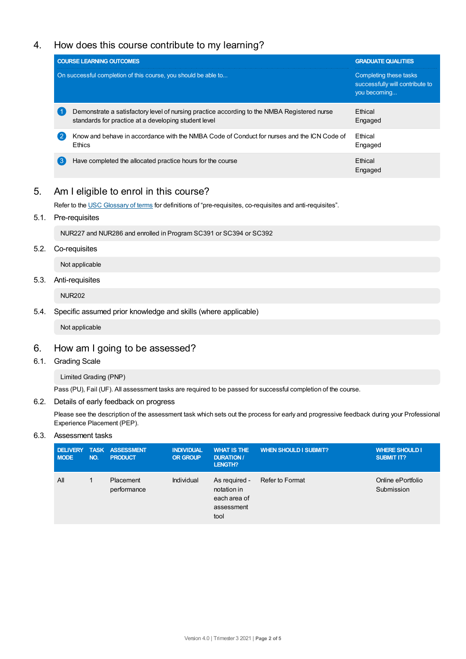# 4. How does this course contribute to my learning?

|    | <b>COURSE LEARNING OUTCOMES</b>                                                                                                                     | <b>GRADUATE QUALITIES</b>                                                 |
|----|-----------------------------------------------------------------------------------------------------------------------------------------------------|---------------------------------------------------------------------------|
|    | On successful completion of this course, you should be able to                                                                                      | Completing these tasks<br>successfully will contribute to<br>you becoming |
|    | Demonstrate a satisfactory level of nursing practice according to the NMBA Registered nurse<br>standards for practice at a developing student level | <b>Fthical</b><br>Engaged                                                 |
|    | Know and behave in accordance with the NMBA Code of Conduct for nurses and the ICN Code of<br><b>Ethics</b>                                         | <b>Fthical</b><br>Engaged                                                 |
| ί3 | Have completed the allocated practice hours for the course                                                                                          | <b>Fthical</b><br>Engaged                                                 |

## 5. Am Ieligible to enrol in this course?

Refer to the USC [Glossary](https://www.usc.edu.au/about/policies-and-procedures/glossary-of-terms-for-policy-and-procedures) of terms for definitions of "pre-requisites, co-requisites and anti-requisites".

5.1. Pre-requisites

NUR227 and NUR286 and enrolled in Program SC391 or SC394 or SC392

5.2. Co-requisites

Not applicable

5.3. Anti-requisites

NUR202

5.4. Specific assumed prior knowledge and skills (where applicable)

Not applicable

# 6. How am Igoing to be assessed?

6.1. Grading Scale

Limited Grading (PNP)

Pass (PU), Fail (UF). All assessment tasks are required to be passed for successful completion of the course.

6.2. Details of early feedback on progress

Please see the description of the assessment task which sets out the process for early and progressive feedback during your Professional Experience Placement (PEP).

## 6.3. Assessment tasks

| <b>DELIVERY</b><br><b>MODE</b> | NO. | <b>TASK ASSESSMENT</b><br><b>PRODUCT</b> | <b>INDIVIDUAL</b><br><b>OR GROUP</b> | <b>WHAT IS THE</b><br><b>DURATION /</b><br>LENGTH?                 | <b>WHEN SHOULD I SUBMIT?</b> | <b>WHERE SHOULD I</b><br><b>SUBMIT IT?</b> |
|--------------------------------|-----|------------------------------------------|--------------------------------------|--------------------------------------------------------------------|------------------------------|--------------------------------------------|
| All                            |     | Placement<br>performance                 | Individual                           | As required -<br>notation in<br>each area of<br>assessment<br>tool | Refer to Format              | Online ePortfolio<br>Submission            |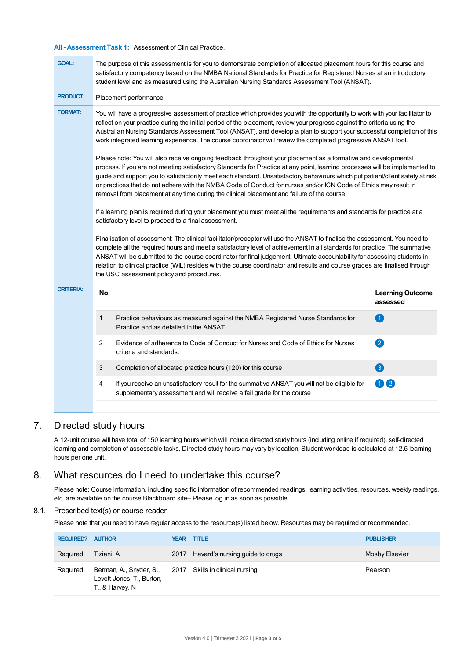### **All - Assessment Task 1:** Assessment of Clinical Practice.

| <b>GOAL:</b>     | The purpose of this assessment is for you to demonstrate completion of allocated placement hours for this course and<br>satisfactory competency based on the NMBA National Standards for Practice for Registered Nurses at an introductory<br>student level and as measured using the Australian Nursing Standards Assessment Tool (ANSAT).                                                                                                                                                                                                                                                                                                                                                                                                                                                                                                                                                                                                                                                                                                                                                                                                                                                                                                                                                                                                            |                                     |  |  |  |  |  |
|------------------|--------------------------------------------------------------------------------------------------------------------------------------------------------------------------------------------------------------------------------------------------------------------------------------------------------------------------------------------------------------------------------------------------------------------------------------------------------------------------------------------------------------------------------------------------------------------------------------------------------------------------------------------------------------------------------------------------------------------------------------------------------------------------------------------------------------------------------------------------------------------------------------------------------------------------------------------------------------------------------------------------------------------------------------------------------------------------------------------------------------------------------------------------------------------------------------------------------------------------------------------------------------------------------------------------------------------------------------------------------|-------------------------------------|--|--|--|--|--|
| <b>PRODUCT:</b>  | Placement performance                                                                                                                                                                                                                                                                                                                                                                                                                                                                                                                                                                                                                                                                                                                                                                                                                                                                                                                                                                                                                                                                                                                                                                                                                                                                                                                                  |                                     |  |  |  |  |  |
| <b>FORMAT:</b>   | You will have a progressive assessment of practice which provides you with the opportunity to work with your facilitator to<br>reflect on your practice during the initial period of the placement, review your progress against the criteria using the<br>Australian Nursing Standards Assessment Tool (ANSAT), and develop a plan to support your successful completion of this<br>work integrated learning experience. The course coordinator will review the completed progressive ANSAT tool.                                                                                                                                                                                                                                                                                                                                                                                                                                                                                                                                                                                                                                                                                                                                                                                                                                                     |                                     |  |  |  |  |  |
|                  | Please note: You will also receive ongoing feedback throughout your placement as a formative and developmental<br>process. If you are not meeting satisfactory Standards for Practice at any point, learning processes will be implemented to<br>guide and support you to satisfactorily meet each standard. Unsatisfactory behaviours which put patient/client safety at risk<br>or practices that do not adhere with the NMBA Code of Conduct for nurses and/or ICN Code of Ethics may result in<br>removal from placement at any time during the clinical placement and failure of the course.<br>If a learning plan is required during your placement you must meet all the requirements and standards for practice at a<br>satisfactory level to proceed to a final assessment.<br>Finalisation of assessment: The clinical facilitator/preceptor will use the ANSAT to finalise the assessment. You need to<br>complete all the required hours and meet a satisfactory level of achievement in all standards for practice. The summative<br>ANSAT will be submitted to the course coordinator for final judgement. Ultimate accountability for assessing students in<br>relation to clinical practice (WIL) resides with the course coordinator and results and course grades are finalised through<br>the USC assessment policy and procedures. |                                     |  |  |  |  |  |
|                  |                                                                                                                                                                                                                                                                                                                                                                                                                                                                                                                                                                                                                                                                                                                                                                                                                                                                                                                                                                                                                                                                                                                                                                                                                                                                                                                                                        |                                     |  |  |  |  |  |
|                  |                                                                                                                                                                                                                                                                                                                                                                                                                                                                                                                                                                                                                                                                                                                                                                                                                                                                                                                                                                                                                                                                                                                                                                                                                                                                                                                                                        |                                     |  |  |  |  |  |
| <b>CRITERIA:</b> | No.                                                                                                                                                                                                                                                                                                                                                                                                                                                                                                                                                                                                                                                                                                                                                                                                                                                                                                                                                                                                                                                                                                                                                                                                                                                                                                                                                    | <b>Learning Outcome</b><br>assessed |  |  |  |  |  |
|                  | 1<br>Practice behaviours as measured against the NMBA Registered Nurse Standards for<br>Practice and as detailed in the ANSAT                                                                                                                                                                                                                                                                                                                                                                                                                                                                                                                                                                                                                                                                                                                                                                                                                                                                                                                                                                                                                                                                                                                                                                                                                          | 0                                   |  |  |  |  |  |
|                  | Evidence of adherence to Code of Conduct for Nurses and Code of Ethics for Nurses<br>2<br>criteria and standards.                                                                                                                                                                                                                                                                                                                                                                                                                                                                                                                                                                                                                                                                                                                                                                                                                                                                                                                                                                                                                                                                                                                                                                                                                                      | 2                                   |  |  |  |  |  |
|                  | 3<br>Completion of allocated practice hours (120) for this course                                                                                                                                                                                                                                                                                                                                                                                                                                                                                                                                                                                                                                                                                                                                                                                                                                                                                                                                                                                                                                                                                                                                                                                                                                                                                      | 3                                   |  |  |  |  |  |
|                  | If you receive an unsatisfactory result for the summative ANSAT you will not be eligible for<br>4<br>supplementary assessment and will receive a fail grade for the course                                                                                                                                                                                                                                                                                                                                                                                                                                                                                                                                                                                                                                                                                                                                                                                                                                                                                                                                                                                                                                                                                                                                                                             | 02                                  |  |  |  |  |  |
|                  |                                                                                                                                                                                                                                                                                                                                                                                                                                                                                                                                                                                                                                                                                                                                                                                                                                                                                                                                                                                                                                                                                                                                                                                                                                                                                                                                                        |                                     |  |  |  |  |  |

## 7. Directed study hours

A 12-unit course will have total of 150 learning hours which will include directed study hours (including online if required), self-directed learning and completion of assessable tasks. Directed study hours may vary by location. Student workload is calculated at 12.5 learning hours per one unit.

## 8. What resources do I need to undertake this course?

Please note: Course information, including specific information of recommended readings, learning activities, resources, weekly readings, etc. are available on the course Blackboard site– Please log in as soon as possible.

### 8.1. Prescribed text(s) or course reader

Please note that you need to have regular access to the resource(s) listed below. Resources may be required or recommended.

| <b>REQUIRED? AUTHOR</b> |                                                                                                         | <b>YEAR TITLE</b> |                                      | <b>PUBLISHER</b> |
|-------------------------|---------------------------------------------------------------------------------------------------------|-------------------|--------------------------------------|------------------|
| Required                | Tiziani, A                                                                                              |                   | 2017 Havard's nursing guide to drugs | Mosby Elsevier   |
| Required                | Berman, A., Snyder, S., 2017 Skills in clinical nursing<br>Levett-Jones, T., Burton,<br>T., & Harvey, N |                   |                                      | Pearson          |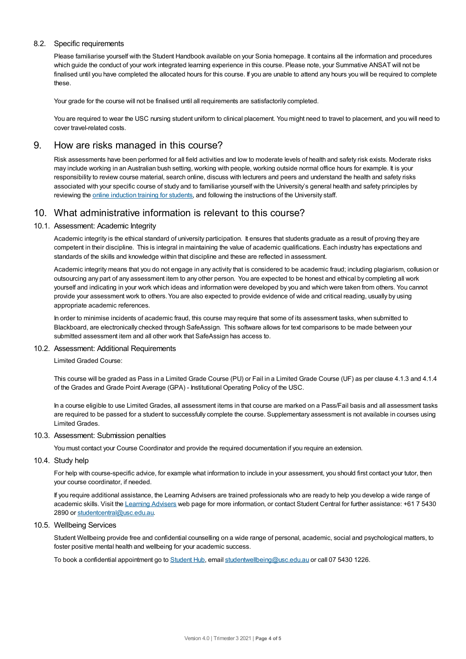## 8.2. Specific requirements

Please familiarise yourself with the Student Handbook available on your Sonia homepage. It contains all the information and procedures which guide the conduct of your work integrated learning experience in this course. Please note, your Summative ANSAT will not be finalised until you have completed the allocated hours for this course. If you are unable to attend any hours you will be required to complete these.

Your grade for the course will not be finalised until all requirements are satisfactorily completed.

You are required to wear the USC nursing student uniform to clinical placement. You might need to travel to placement, and you will need to cover travel-related costs.

## 9. How are risks managed in this course?

Risk assessments have been performed for all field activities and low to moderate levels of health and safety risk exists. Moderate risks may include working in an Australian bush setting, working with people, working outside normal office hours for example. It is your responsibility to review course material, search online, discuss with lecturers and peers and understand the health and safety risks associated with your specific course of study and to familiarise yourself with the University's general health and safety principles by reviewing the online [induction](https://online.usc.edu.au/webapps/blackboard/content/listContentEditable.jsp?content_id=_632657_1&course_id=_14432_1) training for students, and following the instructions of the University staff.

## 10. What administrative information is relevant to this course?

## 10.1. Assessment: Academic Integrity

Academic integrity is the ethical standard of university participation. It ensures that students graduate as a result of proving they are competent in their discipline. This is integral in maintaining the value of academic qualifications. Each industry has expectations and standards of the skills and knowledge within that discipline and these are reflected in assessment.

Academic integrity means that you do not engage in any activity that is considered to be academic fraud; including plagiarism, collusion or outsourcing any part of any assessment item to any other person. You are expected to be honest and ethical by completing all work yourself and indicating in your work which ideas and information were developed by you and which were taken from others. You cannot provide your assessment work to others.You are also expected to provide evidence of wide and critical reading, usually by using appropriate academic references.

In order to minimise incidents of academic fraud, this course may require that some of its assessment tasks, when submitted to Blackboard, are electronically checked through SafeAssign. This software allows for text comparisons to be made between your submitted assessment item and all other work that SafeAssign has access to.

## 10.2. Assessment: Additional Requirements

Limited Graded Course:

This course will be graded as Pass in a Limited Grade Course (PU) or Fail in a Limited Grade Course (UF) as per clause 4.1.3 and 4.1.4 of the Grades and Grade Point Average (GPA) - Institutional Operating Policy of the USC.

In a course eligible to use Limited Grades, all assessment items in that course are marked on a Pass/Fail basis and all assessment tasks are required to be passed for a student to successfully complete the course. Supplementary assessment is not available in courses using Limited Grades.

### 10.3. Assessment: Submission penalties

You must contact your Course Coordinator and provide the required documentation if you require an extension.

#### 10.4. Study help

For help with course-specific advice, for example what information to include in your assessment, you should first contact your tutor, then your course coordinator, if needed.

If you require additional assistance, the Learning Advisers are trained professionals who are ready to help you develop a wide range of academic skills. Visit the Learning [Advisers](https://www.usc.edu.au/current-students/student-support/academic-and-study-support/learning-advisers) web page for more information, or contact Student Central for further assistance: +61 7 5430 2890 or [studentcentral@usc.edu.au](mailto:studentcentral@usc.edu.au).

#### 10.5. Wellbeing Services

Student Wellbeing provide free and confidential counselling on a wide range of personal, academic, social and psychological matters, to foster positive mental health and wellbeing for your academic success.

To book a confidential appointment go to [Student](https://studenthub.usc.edu.au/) Hub, email [studentwellbeing@usc.edu.au](mailto:studentwellbeing@usc.edu.au) or call 07 5430 1226.